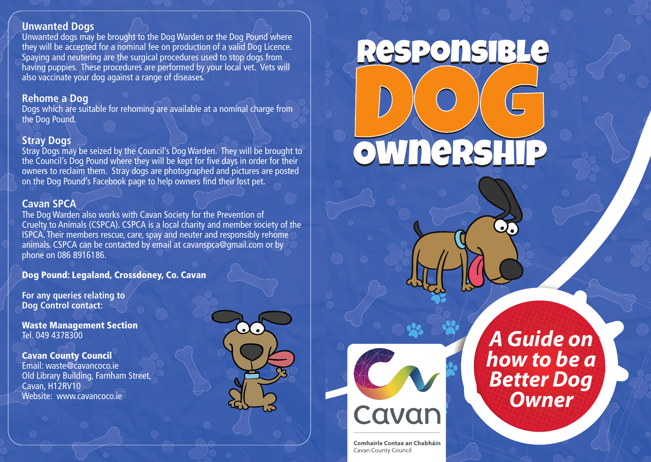## **Unwanted Dogs**

Unwanted dogs may be brought to the Dog Warden or the Dog Pound where they will be accepted for a nominal fee on production of a valid Dog Licence. Spaying and neutering are the surgical procedures used to stop dogs from having puppies. These procedures are performed by your local vet. Vets will also vaccinate your dog against a range of diseases.

#### **Rehome a Dog**

Dogs which are suitable for rehoming are available at a nominal charge from the Dog Pound.

## **Stray Dogs**

Stray Dogs may be seized by the Council's Dog Warden. They will be brought to the Council's Dog Pound where they will be kept for five days in order for their owners to reclaim them. Stray dogs are photographed and pictures are posted on the Dog Pound's Facebook page to help owners find their lost pet.

## **Cavan SPCA**

The Dog Warden also works with Cavan Society for the Prevention of Cruelty to Animals (CSPCA). CSPCA is a local charity and member society of the ISPCA. Their members rescue, care, spay and neuter and responsibly rehome animals. CSPCA can be contacted by email at cavanspca@gmail.com or by phone on 086 8916186.

### **Dog Pound: Legaland, Crossdoney, Co. Cavan**

**For any queries relating to Dog Control contact:**

**Waste Management Section** Tel. 049 4378300

#### **Cavan County Council**

Email: waste@cavancoco.ie Old Library Building, Farnham Street, Cavan, H12RV10 Website: www.cavancoco.ie





D<br>OW

Own

O O NER

ers

hip Ownership

G<br>SHIP

**Comhairle Contae an Chabháin** Cavan County Council

*A Guide on how to be a Better Dog Owner*